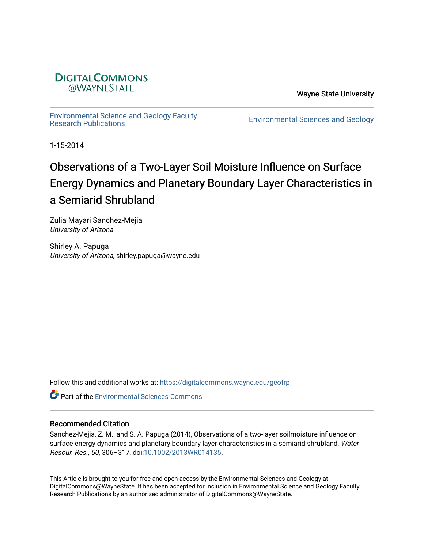

Wayne State University

[Environmental Science and Geology Faculty](https://digitalcommons.wayne.edu/geofrp) 

Environmental Sciences and Geology

1-15-2014

# Observations of a Two-Layer Soil Moisture Influence on Surface Energy Dynamics and Planetary Boundary Layer Characteristics in a Semiarid Shrubland

Zulia Mayari Sanchez-Mejia University of Arizona

Shirley A. Papuga University of Arizona, shirley.papuga@wayne.edu

Follow this and additional works at: [https://digitalcommons.wayne.edu/geofrp](https://digitalcommons.wayne.edu/geofrp?utm_source=digitalcommons.wayne.edu%2Fgeofrp%2F60&utm_medium=PDF&utm_campaign=PDFCoverPages) 

**C** Part of the [Environmental Sciences Commons](https://network.bepress.com/hgg/discipline/167?utm_source=digitalcommons.wayne.edu%2Fgeofrp%2F60&utm_medium=PDF&utm_campaign=PDFCoverPages)

# Recommended Citation

Sanchez-Mejia, Z. M., and S. A. Papuga (2014), Observations of a two-layer soilmoisture influence on surface energy dynamics and planetary boundary layer characteristics in a semiarid shrubland, Water Resour. Res., 50, 306–317, doi:[10.1002/2013WR014135.](https://doi.org/10.1002/2013WR014135)

This Article is brought to you for free and open access by the Environmental Sciences and Geology at DigitalCommons@WayneState. It has been accepted for inclusion in Environmental Science and Geology Faculty Research Publications by an authorized administrator of DigitalCommons@WayneState.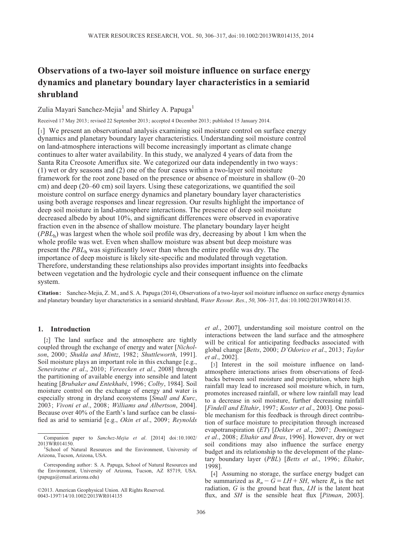# Observations of a two-layer soil moisture influence on surface energy dynamics and planetary boundary layer characteristics in a semiarid shrubland

Zulia Mayari Sanchez-Mejia<sup>1</sup> and Shirley A. Papuga<sup>1</sup>

Received 17 May 2013; revised 22 September 2013; accepted 4 December 2013; published 15 January 2014.

[1] We present an observational analysis examining soil moisture control on surface energy dynamics and planetary boundary layer characteristics. Understanding soil moisture control on land-atmosphere interactions will become increasingly important as climate change continues to alter water availability. In this study, we analyzed 4 years of data from the Santa Rita Creosote Ameriflux site. We categorized our data independently in two ways: (1) wet or dry seasons and (2) one of the four cases within a two-layer soil moisture framework for the root zone based on the presence or absence of moisture in shallow (0–20 cm) and deep (20–60 cm) soil layers. Using these categorizations, we quantified the soil moisture control on surface energy dynamics and planetary boundary layer characteristics using both average responses and linear regression. Our results highlight the importance of deep soil moisture in land-atmosphere interactions. The presence of deep soil moisture decreased albedo by about 10%, and significant differences were observed in evaporative fraction even in the absence of shallow moisture. The planetary boundary layer height  $(PBL<sub>h</sub>)$  was largest when the whole soil profile was dry, decreasing by about 1 km when the whole profile was wet. Even when shallow moisture was absent but deep moisture was present the  $PBL<sub>h</sub>$  was significantly lower than when the entire profile was dry. The importance of deep moisture is likely site-specific and modulated through vegetation. Therefore, understanding these relationships also provides important insights into feedbacks between vegetation and the hydrologic cycle and their consequent influence on the climate system.

Citation : Sanchez-Mejia, Z. M., and S. A. Papuga (2014), Observations of a two-layer soil moisture influence on surface energy dynamics and planetary boundary layer characteristics in a semiarid shrubland, Water Resour. Res., 50, 306-317, doi:[10.1002/2013WR014135](info:doi/10.1002/2013WR014135).

# 1. Introduction

[2] The land surface and the atmosphere are tightly coupled through the exchange of energy and water [Nicholson, 2000; Shukla and Mintz, 1982; Shuttleworth, 1991]. Soil moisture plays an important role in this exchange [e.g., Seneviratne et al., 2010; Vereecken et al., 2008] through the partitioning of available energy into sensible and latent heating [Brubaker and Entekhabi, 1996; Colby, 1984]. Soil moisture control on the exchange of energy and water is especially strong in dryland ecosystems [Small and Kurc, 2003; Vivoni et al., 2008; Williams and Albertson, 2004]. Because over 40% of the Earth's land surface can be classified as arid to semiarid [e.g., Okin et al., 2009; Reynolds et al., 2007], understanding soil moisture control on the interactions between the land surface and the atmosphere will be critical for anticipating feedbacks associated with global change [Betts, 2000; D'Odorico et al., 2013; Taylor et al., 2002].

[3] Interest in the soil moisture influence on landatmosphere interactions arises from observations of feedbacks between soil moisture and precipitation, where high rainfall may lead to increased soil moisture which, in turn, promotes increased rainfall, or where low rainfall may lead to a decrease in soil moisture, further decreasing rainfall [Findell and Eltahir, 1997; Koster et al., 2003]. One possible mechanism for this feedback is through direct contribution of surface moisture to precipitation through increased evapotranspiration (ET) [Dekker et al., 2007; Dominguez et al., 2008; Eltahir and Bras, 1996]. However, dry or wet soil conditions may also influence the surface energy budget and its relationship to the development of the planetary boundary layer (PBL) [Betts et al., 1996; Eltahir, 1998].

[4] Assuming no storage, the surface energy budget can be summarized as  $R_n - G = LH + SH$ , where  $R_n$  is the net radiation,  $G$  is the ground heat flux,  $LH$  is the latent heat flux, and  $SH$  is the sensible heat flux [ $Pitman$ , 2003].

Companion paper to Sanchez-Mejia et al. [2014] doi:10.1002/ 2013WR014150. <sup>1</sup>

<sup>&</sup>lt;sup>1</sup>School of Natural Resources and the Environment, University of Arizona, Tucson, Arizona, USA.

Corresponding author: S. A. Papuga, School of Natural Resources and the Environment, University of Arizona, Tucson, AZ 85719, USA. (papuga@email.arizona.edu)

<sup>©</sup>2013. American Geophysical Union. All Rights Reserved. 0043-1397/14/10.1002/2013WR014135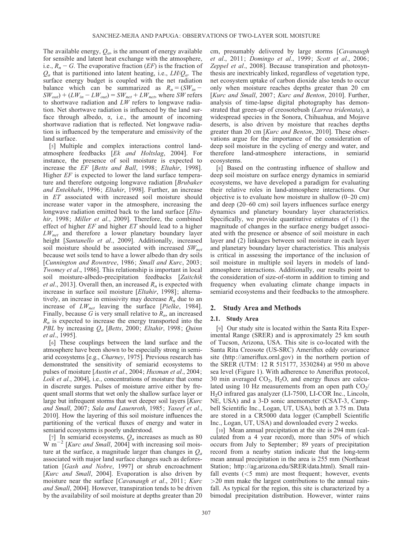The available energy,  $Q_a$ , is the amount of energy available for sensible and latent heat exchange with the atmosphere, i.e.,  $R_n - G$ . The evaporative fraction (EF) is the fraction of  $Q_a$  that is partitioned into latent heating, i.e.,  $LH/Q_a$ . The surface energy budget is coupled with the net radiation balance which can be summarized as  $R_n = (SW_{in} SW_{out}$ ) + ( $LW_{in}$  –  $LW_{out}$ ) =  $SW_{net}$  +  $LW_{net}$ , where  $SW$  refers to shortwave radiation and  $LW$  refers to longwave radiation. Net shortwave radiation is influenced by the land surface through albedo,  $\alpha$ , i.e., the amount of incoming shortwave radiation that is reflected. Net longwave radiation is influenced by the temperature and emissivity of the land surface.

[5] Multiple and complex interactions control landatmosphere feedbacks [Ek and Holtslag, 2004]. For instance, the presence of soil moisture is expected to increase the EF [Betts and Ball, 1998; Eltahir, 1998]. Higher *EF* is expected to lower the land surface temperature and therefore outgoing longwave radiation [Brubaker] and Entekhabi, 1996; Eltahir, 1998]. Further, an increase in ET associated with increased soil moisture should increase water vapor in the atmosphere, increasing the longwave radiation emitted back to the land surface [*Elta*hir, 1998; Miller et al., 2009]. Therefore, the combined effect of higher  $EF$  and higher  $ET$  should lead to a higher  $LW_{net}$  and therefore a lower planetary boundary layer height [Santanello et al., 2009]. Additionally, increased soil moisture should be associated with increased  $SW<sub>net</sub>$ because wet soils tend to have a lower albedo than dry soils [Cunnington and Rowntree, 1986; Small and Kurc, 2003; Twomey et al., 1986]. This relationship is important in local soil moisture-albedo-precipitation feedbacks [Zaitchik *et al.*, 2013]. Overall then, an increased  $R_n$  is expected with increase in surface soil moisture [*Eltahir*, 1998]; alternatively, an increase in emissivity may decrease  $R_n$  due to an increase of  $LW_{net}$  leaving the surface [*Pielke*, 1984]. Finally, because G is very small relative to  $R_n$ , an increased  $R_n$  is expected to increase the energy transported into the PBL by increasing  $Q_a$  [Betts, 2000; Eltahir, 1998; Quinn et al., 1995].

[6] These couplings between the land surface and the atmosphere have been shown to be especially strong in semiarid ecosystems [e.g., Charney, 1975]. Previous research has demonstrated the sensitivity of semiarid ecosystems to pulses of moisture [Austin et al., 2004; Huxman et al., 2004; Loik et al., 2004], i.e., concentrations of moisture that come in discrete surges. Pulses of moisture arrive either by frequent small storms that wet only the shallow surface layer or large but infrequent storms that wet deeper soil layers [Kurc] and Small, 2007; Sala and Lauenroth, 1985; Yaseef et al., 2010]. How the layering of this soil moisture influences the partitioning of the vertical fluxes of energy and water in semiarid ecosystems is poorly understood.

[7] In semiarid ecosystems,  $Q_a$  increases as much as 80  $\text{W m}^{-2}$  [Kurc and Small, 2004] with increasing soil moisture at the surface, a magnitude larger than changes in  $Q_a$ associated with major land surface changes such as deforestation [Gash and Nobre, 1997] or shrub encroachment [Kurc and Small, 2004]. Evaporation is also driven by moisture near the surface [Cavanaugh et al., 2011; Kurc and Small, 2004]. However, transpiration tends to be driven by the availability of soil moisture at depths greater than 20 cm, presumably delivered by large storms [Cavanaugh et al., 2011; Domingo et al., 1999; Scott et al., 2006; Zeppel et al., 2008]. Because transpiration and photosynthesis are inextricably linked, regardless of vegetation type, net ecosystem uptake of carbon dioxide also tends to occur only when moisture reaches depths greater than 20 cm [Kurc and Small, 2007; Kurc and Benton, 2010]. Further, analysis of time-lapse digital photography has demonstrated that green-up of creosotebush (Larrea tridentata), a widespread species in the Sonora, Chihuahua, and Mojave deserts, is also driven by moisture that reaches depths greater than 20 cm [Kurc and Benton, 2010]. These observations argue for the importance of the consideration of deep soil moisture in the cycling of energy and water, and therefore land-atmosphere interactions, in semiarid ecosystems.

[8] Based on the contrasting influence of shallow and deep soil moisture on surface energy dynamics in semiarid ecosystems, we have developed a paradigm for evaluating their relative roles in land-atmosphere interactions. Our objective is to evaluate how moisture in shallow (0–20 cm) and deep (20–60 cm) soil layers influences surface energy dynamics and planetary boundary layer characteristics. Specifically, we provide quantitative estimates of (1) the magnitude of changes in the surface energy budget associated with the presence or absence of soil moisture in each layer and (2) linkages between soil moisture in each layer and planetary boundary layer characteristics. This analysis is critical in assessing the importance of the inclusion of soil moisture in multiple soil layers in models of landatmosphere interactions. Additionally, our results point to the consideration of size-of-storm in addition to timing and frequency when evaluating climate change impacts in semiarid ecosystems and their feedbacks to the atmosphere.

# 2. Study Area and Methods

#### 2.1. Study Area

[9] Our study site is located within the Santa Rita Experimental Range (SRER) and is approximately 25 km south of Tucson, Arizona, USA. This site is co-located with the Santa Rita Creosote (US-SRC) Ameriflux eddy covariance site (<http://ameriflux.ornl.gov>) in the northern portion of the SRER (UTM: 12 R 515177, 3530284) at 950 m above sea level (Figure 1). With adherence to Ameriflux protocol, 30 min averaged  $CO<sub>2</sub>$ , H<sub>2</sub>O, and energy fluxes are calculated using 10 Hz measurements from an open path  $CO<sub>2</sub>/$ H2O infrared gas analyzer (LI-7500, LI-COR Inc., Lincoln, NE, USA) and a 3-D sonic anemometer (CSAT-3, Campbell Scientific Inc., Logan, UT, USA), both at 3.75 m. Data are stored in a CR5000 data logger (Campbell Scientific Inc., Logan, UT, USA) and downloaded every 2 weeks.

[10] Mean annual precipitation at the site is 294 mm (calculated from a 4 year record), more than 50% of which occurs from July to September; 89 years of precipitation record from a nearby station indicate that the long-term mean annual precipitation in the area is 255 mm (Northeast Station; [http://ag.arizona.edu/SRER/data.html\)](http://ag.arizona.edu/SRER/data.html). Small rainfall events  $(<5$  mm) are most frequent; however, events >20 mm make the largest contributions to the annual rainfall. As typical for the region, this site is characterized by a bimodal precipitation distribution. However, winter rains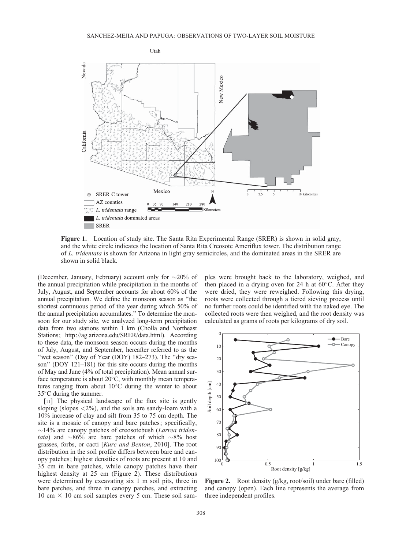

Figure 1. Location of study site. The Santa Rita Experimental Range (SRER) is shown in solid gray, and the white circle indicates the location of Santa Rita Creosote Ameriflux tower. The distribution range of L. tridentata is shown for Arizona in light gray semicircles, and the dominated areas in the SRER are shown in solid black.

(December, January, February) account only for  $\sim$ 20% of the annual precipitation while precipitation in the months of July, August, and September accounts for about 60% of the annual precipitation. We define the monsoon season as ''the shortest continuous period of the year during which 50% of the annual precipitation accumulates.'' To determine the monsoon for our study site, we analyzed long-term precipitation data from two stations within 1 km (Cholla and Northeast Stations;<http://ag.arizona.edu/SRER/data.html>). According to these data, the monsoon season occurs during the months of July, August, and September, hereafter referred to as the "wet season" (Day of Year (DOY) 182–273). The "dry season'' (DOY 121–181) for this site occurs during the months of May and June (4% of total precipitation). Mean annual surface temperature is about  $20^{\circ}$ C, with monthly mean temperatures ranging from about  $10^{\circ}$ C during the winter to about  $35^{\circ}$ C during the summer.

[11] The physical landscape of the flux site is gently sloping (slopes  $\langle 2\%$ ), and the soils are sandy-loam with a 10% increase of clay and silt from 35 to 75 cm depth. The site is a mosaic of canopy and bare patches; specifically,  $\sim$ 14% are canopy patches of creosotebush (Larrea triden*tata*) and  $\sim 86\%$  are bare patches of which  $\sim 8\%$  host grasses, forbs, or cacti [Kurc and Benton, 2010]. The root distribution in the soil profile differs between bare and canopy patches; highest densities of roots are present at 10 and 35 cm in bare patches, while canopy patches have their highest density at 25 cm (Figure 2). These distributions were determined by excavating six 1 m soil pits, three in bare patches, and three in canopy patches, and extracting 10 cm  $\times$  10 cm soil samples every 5 cm. These soil samples were brought back to the laboratory, weighed, and then placed in a drying oven for 24 h at  $60^{\circ}$ C. After they were dried, they were reweighed. Following this drying, roots were collected through a tiered sieving process until no further roots could be identified with the naked eye. The collected roots were then weighed, and the root density was calculated as grams of roots per kilograms of dry soil.



Figure 2. Root density (g/kg, root/soil) under bare (filled) and canopy (open). Each line represents the average from three independent profiles.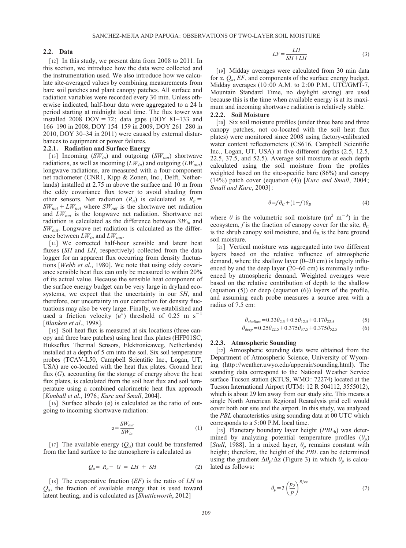#### 2.2. Data

[12] In this study, we present data from 2008 to 2011. In this section, we introduce how the data were collected and the instrumentation used. We also introduce how we calculate site-averaged values by combining measurements from bare soil patches and plant canopy patches. All surface and radiation variables were recorded every 30 min. Unless otherwise indicated, half-hour data were aggregated to a 24 h period starting at midnight local time. The flux tower was installed 2008 DOY = 72; data gaps (DOY 81-133 and 166–190 in 2008, DOY 154–159 in 2009, DOY 261–280 in 2010, DOY 30–34 in 2011) were caused by external disturbances to equipment or power failures.

#### 2.2.1. Radiation and Surface Energy

[13] Incoming  $(SW_{in})$  and outgoing  $(SW_{out})$  shortwave radiations, as well as incoming  $(LW_{in})$  and outgoing  $(LW_{out})$ longwave radiations, are measured with a four-component net radiometer (CNR1, Kipp & Zonen, Inc., Delft, Netherlands) installed at 2.75 m above the surface and 10 m from the eddy covariance flux tower to avoid shading from other sensors. Net radiation  $(R_n)$  is calculated as  $R_n =$  $SW_{net} + LW_{net}$  where  $SW_{net}$  is the shortwave net radiation and  $LW_{net}$  is the longwave net radiation. Shortwave net radiation is calculated as the difference between  $SW_{in}$  and  $SW_{out}$ . Longwave net radiation is calculated as the difference between  $LW_{in}$  and  $LW_{out}$ .

[14] We corrected half-hour sensible and latent heat fluxes (SH and LH, respectively) collected from the data logger for an apparent flux occurring from density fluctuations [Webb et al., 1980]. We note that using eddy covariance sensible heat flux can only be measured to within 20% of its actual value. Because the sensible heat component of the surface energy budget can be very large in dryland ecosystems, we expect that the uncertainty in our SH, and therefore, our uncertainty in our correction for density fluctuations may also be very large. Finally, we established and used a friction velocity  $(u^*)$  threshold of 0.25 m s<sup>-1</sup> [Blanken et al., 1998].

[15] Soil heat flux is measured at six locations (three canopy and three bare patches) using heat flux plates (HFP01SC, Hukseflux Thermal Sensors, Elektronicaweg, Netherlands) installed at a depth of 5 cm into the soil. Six soil temperature probes (TCAV-L50, Campbell Scientific Inc., Logan, UT, USA) are co-located with the heat flux plates. Ground heat flux  $(G)$ , accounting for the storage of energy above the heat flux plates, is calculated from the soil heat flux and soil temperature using a combined calorimetric heat flux approach [*Kimball et al., 1976; Kurc and Small, 2004*].

[16] Surface albedo  $(\alpha)$  is calculated as the ratio of outgoing to incoming shortwave radiation:

$$
\alpha = \frac{SW_{out}}{SW_{in}}\tag{1}
$$

[17] The available energy  $(Q_a)$  that could be transferred from the land surface to the atmosphere is calculated as

$$
Q_a = R_n - G = LH + SH \tag{2}
$$

[18] The evaporative fraction  $(EF)$  is the ratio of  $LH$  to  $Q_a$ , the fraction of available energy that is used toward latent heating, and is calculated as [Shuttleworth, 2012]

$$
EF = \frac{LH}{SH + LH} \tag{3}
$$

[19] Midday averages were calculated from 30 min data for  $\alpha$ ,  $Q_a$ , EF, and components of the surface energy budget. Midday averages (10:00 A.M. to 2:00 P.M., UTC/GMT-7, Mountain Standard Time, no daylight saving) are used because this is the time when available energy is at its maximum and incoming shortwave radiation is relatively stable.

### 2.2.2. Soil Moisture

[20] Six soil moisture profiles (under three bare and three canopy patches, not co-located with the soil heat flux plates) were monitored since 2008 using factory-calibrated water content reflectometers (CS616, Campbell Scientific Inc., Logan, UT, USA) at five different depths (2.5, 12.5, 22.5, 37.5, and 52.5). Average soil moisture at each depth calculated using the soil moisture from the profiles weighted based on the site-specific bare (86%) and canopy  $(14%)$  patch cover (equation (4)) [Kurc and Small, 2004; Small and Kurc, 2003]:

$$
\theta = f\theta_C + (1 - f)\theta_B \tag{4}
$$

where  $\theta$  is the volumetric soil moisture  $(m^3 m^{-3})$  in the ecosystem, f is the fraction of canopy cover for the site,  $\theta_C$ is the shrub canopy soil moisture, and  $\theta_B$  is the bare ground soil moisture.

[21] Vertical moisture was aggregated into two different layers based on the relative influence of atmospheric demand, where the shallow layer (0–20 cm) is largely influenced by and the deep layer (20–60 cm) is minimally influenced by atmospheric demand. Weighted averages were based on the relative contribution of depth to the shallow (equation  $(5)$ ) or deep (equation  $(6)$ ) layers of the profile, and assuming each probe measures a source area with a radius of 7.5 cm:

$$
\theta_{\text{shallow}} = 0.33 \theta_{2.5} + 0.5 \theta_{12.5} + 0.17 \theta_{22.5} \tag{5}
$$

$$
\theta_{deep} = 0.25\theta_{22.5} + 0.375\theta_{37.5} + 0.375\theta_{52.5}
$$
 (6)

#### 2.2.3. Atmospheric Sounding

[22] Atmospheric sounding data were obtained from the Department of Atmospheric Science, University of Wyoming (<http://weather.uwyo.edu/upperair/sounding.html>). The sounding data correspond to the National Weather Service surface Tucson station (KTUS, WMO: 72274) located at the Tucson International Airport (UTM: 12 R 504112, 3555012), which is about 29 km away from our study site. This means a single North American Regional Reanalysis grid cell would cover both our site and the airport. In this study, we analyzed the PBL characteristics using sounding data at 00 UTC which corresponds to a 5:00 P.M. local time.

[23] Planetary boundary layer height  $(PBL<sub>h</sub>)$  was determined by analyzing potential temperature profiles  $(\theta_p)$ [Stull, 1988]. In a mixed layer,  $\theta_p$  remains constant with height; therefore, the height of the PBL can be determined using the gradient  $\Delta\theta_p/\Delta z$  (Figure 3) in which  $\theta_p$  is calculated as follows:

$$
\theta_p = T \left(\frac{p_0}{p}\right)^{R/c_p} \tag{7}
$$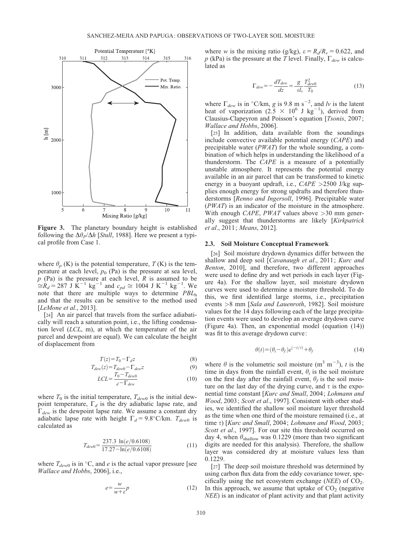

Figure 3. The planetary boundary height is established following the  $\Delta\theta_P/\Delta h$  [*Stull*, 1988]. Here we present a typical profile from Case 1.

where  $\theta_p$  (K) is the potential temperature, T (K) is the temperature at each level,  $p_0$  (Pa) is the pressure at sea level,  $p$  (Pa) is the pressure at each level, R is assumed to be  $\hat{f}_{\hat{H}} = 287$  J  $\hat{K}^{-1}$  kg<sup>-1</sup> and  $c_{pd} \approx 1004$  J  $K^{-1}$  kg<sup>-1</sup>. We note that there are multiple ways to determine  $PBL<sub>h</sub>$ and that the results can be sensitive to the method used [*LeMone et al.*, 2013].

[24] An air parcel that travels from the surface adiabatically will reach a saturation point, i.e., the lifting condensation level  $(LCL, m)$ , at which the temperature of the air parcel and dewpoint are equal). We can calculate the height of displacement from

$$
T(z) = T_0 - \Gamma_d z \tag{8}
$$

$$
T_{dew}(z) = T_{dew0} - \Gamma_{dew} z
$$
\n
$$
LCL = \frac{T_0 - T_{dew0}}{d - \Gamma_{dew}}
$$
\n(10)

where  $T_0$  is the initial temperature,  $T_{dew0}$  is the initial dewpoint temperature,  $\Gamma_d$  is the dry adiabatic lapse rate, and  $\Gamma_{dew}$  is the dewpoint lapse rate. We assume a constant dry adiabatic lapse rate with height  $\Gamma_d = 9.8^{\circ}$ C/km.  $T_{dew0}$  is calculated as

$$
T_{dew0} = \frac{237.3 \ln(e/0.6108)}{17.27 - \ln(e/0.6108)}
$$
(11)

where  $T_{dew0}$  is in °C, and e is the actual vapor pressure [see Wallace and Hobbs, 2006], i.e.,

$$
e = \frac{w}{w + \varepsilon} p \tag{12}
$$

where w is the mixing ratio (g/kg),  $\varepsilon = R_d/R_v = 0.622$ , and p (kPa) is the pressure at the T level. Finally,  $\Gamma_{dew}$  is calculated as

$$
\Gamma_{dew} = -\frac{dT_{dew}}{dz} = \frac{g}{\varepsilon l_v} \frac{T_{dew0}^2}{T_0} \tag{13}
$$

where  $\Gamma_{dew}$  is in °C/km, g is 9.8 m s<sup>-2</sup>, and lv is the latent heat of vaporization  $(2.5 \times 10^6 \text{ J kg}^{-1})$ , derived from Clausius-Clapeyron and Poisson's equation [*Tsonis*, 2007; Wallace and Hobbs, 2006].

[25] In addition, data available from the soundings include convective available potential energy (CAPE) and precipitable water (PWAT) for the whole sounding, a combination of which helps in understanding the likelihood of a thunderstorm. The CAPE is a measure of a potentially unstable atmosphere. It represents the potential energy available in an air parcel that can be transformed to kinetic energy in a buoyant updraft, i.e.,  $CAPE > 2500$  J/kg supplies enough energy for strong updrafts and therefore thunderstorms [Renno and Ingersoll, 1996]. Precipitable water (PWAT) is an indicator of the moisture in the atmosphere. With enough *CAPE*, *PWAT* values above  $>30$  mm generally suggest that thunderstorms are likely [Kirkpatrick et al., 2011; Means, 2012].

#### 2.3. Soil Moisture Conceptual Framework

[26] Soil moisture drydown dynamics differ between the shallow and deep soil [Cavanaugh et al., 2011; Kurc and Benton, 2010], and therefore, two different approaches were used to define dry and wet periods in each layer (Figure 4a). For the shallow layer, soil moisture drydown curves were used to determine a moisture threshold. To do this, we first identified large storms, i.e., precipitation events >8 mm [Sala and Lauenroth, 1982]. Soil moisture values for the 14 days following each of the large precipitation events were used to develop an average drydown curve (Figure 4a). Then, an exponential model (equation (14)) was fit to this average drydown curve:

$$
\theta(t) = (\theta_i - \theta_f)e^{(-t/\tau)} + \theta_f \tag{14}
$$

where  $\theta$  is the volumetric soil moisture (m<sup>3</sup> m<sup>-3</sup>), t is the time in days from the rainfall event,  $\theta_i$  is the soil moisture on the first day after the rainfall event,  $\theta_f$  is the soil moisture on the last day of the drying curve, and  $\tau$  is the exponential time constant [Kurc and Small, 2004; Lohmann and Wood, 2003; Scott et al., 1997]. Consistent with other studies, we identified the shallow soil moisture layer threshold as the time when one third of the moisture remained (i.e., at time  $\tau$ ) [Kurc and Small, 2004; Lohmann and Wood, 2003; Scott et al., 1997]. For our site this threshold occurred on day 4, when  $\theta_{\text{shallow}}$  was 0.1229 (more than two significant digits are needed for this analysis). Therefore, the shallow layer was considered dry at moisture values less than 0.1229.

[27] The deep soil moisture threshold was determined by using carbon flux data from the eddy covariance tower, specifically using the net ecosystem exchange ( $NEE$ ) of  $CO<sub>2</sub>$ . In this approach, we assume that uptake of  $CO<sub>2</sub>$  (negative NEE) is an indicator of plant activity and that plant activity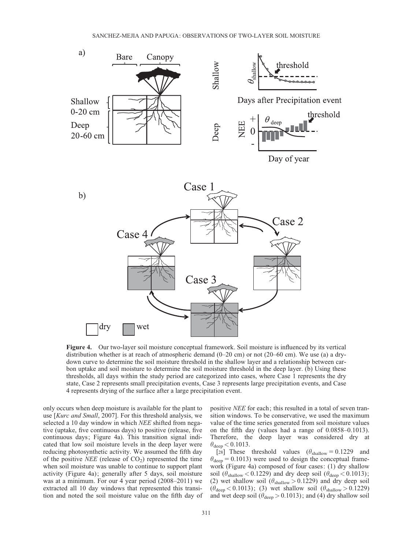

Figure 4. Our two-layer soil moisture conceptual framework. Soil moisture is influenced by its vertical distribution whether is at reach of atmospheric demand (0–20 cm) or not (20–60 cm). We use (a) a drydown curve to determine the soil moisture threshold in the shallow layer and a relationship between carbon uptake and soil moisture to determine the soil moisture threshold in the deep layer. (b) Using these thresholds, all days within the study period are categorized into cases, where Case 1 represents the dry state, Case 2 represents small precipitation events, Case 3 represents large precipitation events, and Case 4 represents drying of the surface after a large precipitation event.

only occurs when deep moisture is available for the plant to use [Kurc and Small, 2007]. For this threshold analysis, we selected a 10 day window in which NEE shifted from negative (uptake, five continuous days) to positive (release, five continuous days; Figure 4a). This transition signal indicated that low soil moisture levels in the deep layer were reducing photosynthetic activity. We assumed the fifth day of the positive *NEE* (release of  $CO<sub>2</sub>$ ) represented the time when soil moisture was unable to continue to support plant activity (Figure 4a); generally after 5 days, soil moisture was at a minimum. For our 4 year period (2008–2011) we extracted all 10 day windows that represented this transition and noted the soil moisture value on the fifth day of

positive NEE for each; this resulted in a total of seven transition windows. To be conservative, we used the maximum value of the time series generated from soil moisture values on the fifth day (values had a range of 0.0858–0.1013). Therefore, the deep layer was considered dry at  $\theta_{\text{deep}} < 0.1013$ .

[28] These threshold values  $(\theta_{\text{shallow}} = 0.1229)$  and  $heta_{\text{deep}} = 0.1013$ ) were used to design the conceptual framework (Figure 4a) composed of four cases: (1) dry shallow soil ( $\theta_{\text{shallow}} < 0.1229$ ) and dry deep soil ( $\theta_{\text{deep}} < 0.1013$ ); (2) wet shallow soil  $(\theta_{\text{shallow}} > 0.1229)$  and dry deep soil  $(\theta_{\text{deep}} < 0.1013)$ ; (3) wet shallow soil  $(\theta_{\text{shallow}} > 0.1229)$ and wet deep soil ( $\theta_{\text{deep}} > 0.1013$ ); and (4) dry shallow soil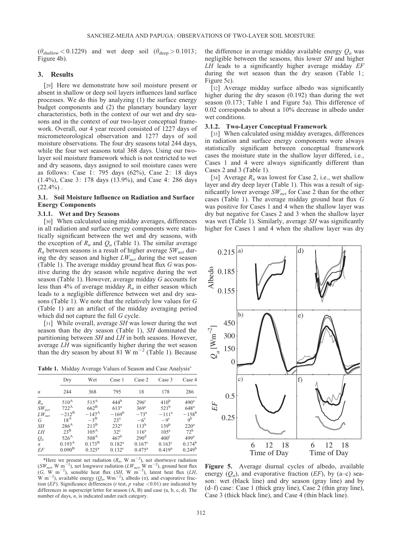$(\theta_{\text{shallow}} < 0.1229)$  and wet deep soil  $(\theta_{\text{deep}} > 0.1013)$ ; Figure 4b).

#### 3. Results

[29] Here we demonstrate how soil moisture present or absent in shallow or deep soil layers influences land surface processes. We do this by analyzing (1) the surface energy budget components and (2) the planetary boundary layer characteristics, both in the context of our wet and dry seasons and in the context of our two-layer conceptual framework. Overall, our 4 year record consisted of 1227 days of micrometeorological observation and 1277 days of soil moisture observations. The four dry seasons total 244 days, while the four wet seasons total 368 days. Using our twolayer soil moisture framework which is not restricted to wet and dry seasons, days assigned to soil moisture cases were as follows: Case 1: 795 days (62%), Case 2: 18 days (1.4%), Case 3: 178 days (13.9%), and Case 4: 286 days  $(22.4\%)$ .

# 3.1. Soil Moisture Influence on Radiation and Surface Energy Components

#### 3.1.1. Wet and Dry Seasons

[30] When calculated using midday averages, differences in all radiation and surface energy components were statistically significant between the wet and dry seasons, with the exception of  $R_n$  and  $Q_a$  (Table 1). The similar average  $R_n$  between seasons is a result of higher average  $SW_{net}$  during the dry season and higher  $LW_{net}$  during the wet season (Table 1). The average midday ground heat flux G was positive during the dry season while negative during the wet season (Table 1). However, average midday G accounts for less than 4% of average midday  $R_n$  in either season which leads to a negligible difference between wet and dry seasons (Table 1). We note that the relatively low values for G (Table 1) are an artifact of the midday averaging period which did not capture the full G cycle.

[31] While overall, average *SH* was lower during the wet season than the dry season (Table 1), SH dominated the partitioning between SH and LH in both seasons. However, average LH was significantly higher during the wet season than the dry season by about 81 W  $\text{m}^{-2}$  (Table 1). Because

Table 1. Midday Average Values of Season and Case Analysis

| $\boldsymbol{n}$ | Dry                | Wet              | Case 1           | Case 2             | Case 3           | Case 4           |
|------------------|--------------------|------------------|------------------|--------------------|------------------|------------------|
|                  | 244                | 368              | 795              | 18                 | 178              | 286              |
| $R_n$            | $510^{\rm A}$      | $515^A$          | 444 <sup>b</sup> | $296^{\circ}$      | $410^{\rm b}$    | 490 <sup>a</sup> |
| $SW_{net}$       | $722^{\mathrm{A}}$ | $662^{\rm B}$    | 613 <sup>a</sup> | $369^\circ$        | $521^{\rm b}$    | 648 <sup>a</sup> |
| $LW_{net}$       | $-212^{\rm B}$     | $-147^{\rm A}$   | $-169^{\rm b}$   | $-73a$             | $-111^a$         | $-158^{\rm b}$   |
| G                | $18^{\rm A}$       | $-3^{\rm B}$     | 23 <sup>a</sup>  | $-6^\circ$         | $-9^\circ$       | $q^b$            |
| SΗ               | $286^{\rm A}$      | $213^{\rm B}$    | 232 <sup>a</sup> | $113^{\mathrm{b}}$ | $139^{b}$        | 220 <sup>a</sup> |
| I.Н              | $23^{\rm B}$       | $105^{\text{A}}$ | $32^{\circ}$     | $116^a$            | 105 <sup>a</sup> | $72^{\rm b}$     |
| $Q_a$            | $526^{\rm A}$      | $508^{\rm A}$    | $467^{\rm b}$    | 290 <sup>d</sup>   | $400^\circ$      | 499 <sup>a</sup> |
| $\alpha$         | $0.193^{A}$        | $0.173^{\rm B}$  | $0.182^a$        | $0.167^{\circ}$    | $0.163^{\circ}$  | $0.174^b$        |
| EF               | 0.090 <sup>B</sup> | $0.325^{\rm a}$  | $0.132^{\circ}$  | $0.475^{\rm a}$    | $0.419^{a}$      | $0.249^b$        |

\*Here we present net radiation  $(R_n, W_m^{-2})$ , net shortwave radiation  $(SW_{net}, W \text{ m}^{-2})$ , net longwave radiation  $(LW_{net}, W \text{ m}^{-2})$ , ground heat flux  $(G, W \text{ m}^{-2})$ , sensible heat flux  $(SH, W \text{ m}^{-2})$ , latent heat flux  $(LH, W \text{ m}^{-2})$ W m<sup>-2</sup>), available energy ( $Q_a$ , Wm<sup>-2</sup>), albedo ( $\alpha$ ), and evaporative fraction (EF). Significance differences (t test, p value  $\leq 0.01$ ) are indicated by differences in superscript letter for season (A, B) and case (a, b, c, d). The number of days, n, is indicated under each category.

the difference in average midday available energy  $Q_a$  was negligible between the seasons, this lower SH and higher  $LH$  leads to a significantly higher average midday  $EF$ during the wet season than the dry season (Table 1; Figure 5c).

[32] Average midday surface albedo was significantly higher during the dry season (0.192) than during the wet season (0.173; Table 1 and Figure 5a). This difference of 0.02 corresponds to about a 10% decrease in albedo under wet conditions.

#### 3.1.2. Two-Layer Conceptual Framework

[33] When calculated using midday averages, differences in radiation and surface energy components were always statistically significant between conceptual framework cases the moisture state in the shallow layer differed, i.e., Cases 1 and 4 were always significantly different than Cases 2 and 3 (Table 1).

[34] Average  $R_n$  was lowest for Case 2, i.e., wet shallow layer and dry deep layer (Table 1). This was a result of significantly lower average  $SW_{net}$  for Case 2 than for the other cases (Table 1). The average midday ground heat flux G was positive for Cases 1 and 4 when the shallow layer was dry but negative for Cases 2 and 3 when the shallow layer was wet (Table 1). Similarly, average SH was significantly higher for Cases 1 and 4 when the shallow layer was dry



Figure 5. Average diurnal cycles of albedo, available energy  $(Q_a)$ , and evaporative fraction (EF), by (a–c) season: wet (black line) and dry season (gray line) and by (d–f) case: Case 1 (thick gray line), Case 2 (thin gray line), Case 3 (thick black line), and Case 4 (thin black line).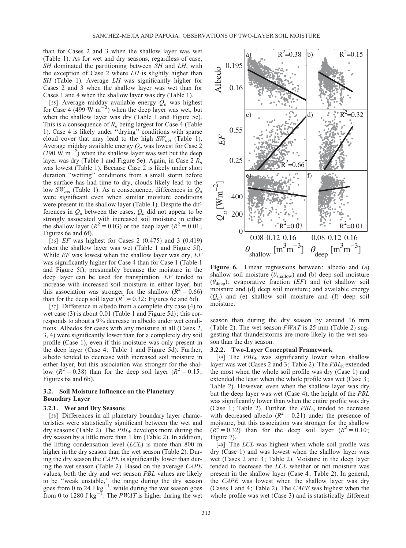than for Cases 2 and 3 when the shallow layer was wet (Table 1). As for wet and dry seasons, regardless of case, SH dominated the partitioning between SH and LH, with the exception of Case 2 where  $LH$  is slightly higher than SH (Table 1). Average LH was significantly higher for Cases 2 and 3 when the shallow layer was wet than for Cases 1 and 4 when the shallow layer was dry (Table 1).

[35] Average midday available energy  $Q_a$  was highest for Case 4 (499 W m<sup>-2</sup>) when the deep layer was wet, but when the shallow layer was dry (Table 1 and Figure 5e). This is a consequence of  $R_n$  being largest for Case 4 (Table 1). Case 4 is likely under ''drying'' conditions with sparse cloud cover that may lead to the high  $SW<sub>net</sub>$  (Table 1). Average midday available energy  $Q_a$  was lowest for Case 2  $(290 \text{ W m}^{-2})$  when the shallow layer was wet but the deep layer was dry (Table 1 and Figure 5e). Again, in Case 2  $R_n$ was lowest (Table 1). Because Case 2 is likely under short duration ''wetting'' conditions from a small storm before the surface has had time to dry, clouds likely lead to the low  $SW_{net}$  (Table 1). As a consequence, differences in  $Q_a$ were significant even when similar moisture conditions were present in the shallow layer (Table 1). Despite the differences in  $Q_a$  between the cases,  $Q_a$  did not appear to be strongly associated with increased soil moisture in either the shallow layer ( $R^2 = 0.03$ ) or the deep layer ( $R^2 = 0.01$ ; Figures 6e and 6f).

[36]  $EF$  was highest for Cases 2 (0.475) and 3 (0.419) when the shallow layer was wet (Table 1 and Figure 5f). While  $EF$  was lowest when the shallow layer was dry,  $EF$ was significantly higher for Case 4 than for Case 1 (Table 1 and Figure 5f), presumably because the moisture in the deep layer can be used for transpiration. EF tended to increase with increased soil moisture in either layer, but this association was stronger for the shallow ( $R^2 = 0.66$ ) than for the deep soil layer ( $R^2 = 0.32$ ; Figures 6c and 6d).

[37] Difference in albedo from a complete dry case (4) to wet case (3) is about 0.01 (Table 1 and Figure 5d); this corresponds to about a 9% decrease in albedo under wet conditions. Albedos for cases with any moisture at all (Cases 2, 3, 4) were significantly lower than for a completely dry soil profile (Case 1), even if this moisture was only present in the deep layer (Case 4; Table 1 and Figure 5d). Further, albedo tended to decrease with increased soil moisture in either layer, but this association was stronger for the shallow  $(R^2 = 0.38)$  than for the deep soil layer  $(R^2 = 0.15)$ ; Figures 6a and 6b).

# 3.2. Soil Moisture Influence on the Planetary Boundary Layer

#### 3.2.1. Wet and Dry Seasons

[38] Differences in all planetary boundary layer characteristics were statistically significant between the wet and dry seasons (Table 2). The  $PBL<sub>h</sub>$  develops more during the dry season by a little more than 1 km (Table 2). In addition, the lifting condensation level  $(LCL)$  is more than 800 m higher in the dry season than the wet season (Table 2). During the dry season the CAPE is significantly lower than during the wet season (Table 2). Based on the average CAPE values, both the dry and wet season PBL values are likely to be ''weak unstable,'' the range during the dry season goes from 0 to 24 J  $kg^{-1}$ , while during the wet season goes from 0 to 1280 J kg<sup>-1</sup>. The *PWAT* is higher during the wet



Figure 6. Linear regressions between: albedo and (a) shallow soil moisture ( $\theta_{\text{shallow}}$ ) and (b) deep soil moisture  $(\theta_{\text{deep}})$ ; evaporative fraction (EF) and (c) shallow soil moisture and (d) deep soil moisture; and available energy  $(Q_a)$  and (e) shallow soil moisture and (f) deep soil moisture.

season than during the dry season by around 16 mm (Table 2). The wet season  $PWAT$  is 25 mm (Table 2) suggesting that thunderstorms are more likely in the wet season than the dry season.

#### 3.2.2. Two-Layer Conceptual Framework

[39] The  $PBL<sub>h</sub>$  was significantly lower when shallow layer was wet (Cases 2 and 3; Table 2). The  $PBL<sub>h</sub>$  extended the most when the whole soil profile was dry (Case 1) and extended the least when the whole profile was wet (Case 3; Table 2). However, even when the shallow layer was dry but the deep layer was wet (Case 4), the height of the PBL was significantly lower than when the entire profile was dry (Case 1; Table 2). Further, the  $PBL<sub>h</sub>$  tended to decrease with decreased albedo ( $R^2 = 0.21$ ) under the presence of moisture, but this association was stronger for the shallow  $(R^2 = 0.32)$  than for the deep soil layer  $(R^2 = 0.10)$ ; Figure 7).

[40] The *LCL* was highest when whole soil profile was dry (Case 1) and was lowest when the shallow layer was wet (Cases 2 and 3; Table 2). Moisture in the deep layer tended to decrease the LCL whether or not moisture was present in the shallow layer (Case 4; Table 2). In general, the CAPE was lowest when the shallow layer was dry (Cases 1 and 4; Table 2). The CAPE was highest when the whole profile was wet (Case 3) and is statistically different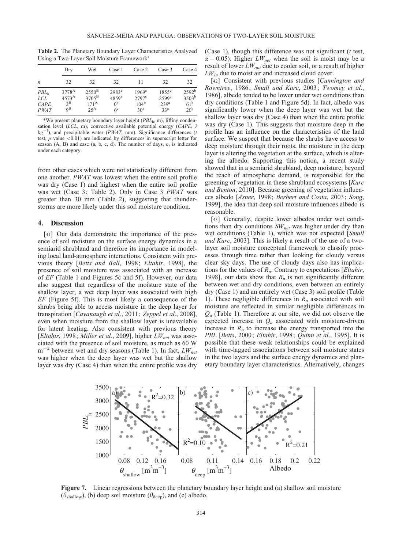Table 2. The Planetary Boundary Layer Characteristics Analyzed Using a Two-Layer Soil Moisture Framework

| $\boldsymbol{n}$                                      | Dry                                                               | Wet                                                                     | Case 1                                                                       | Case 2                                                                | Case 3                                                                  | Case 4                                                                 |
|-------------------------------------------------------|-------------------------------------------------------------------|-------------------------------------------------------------------------|------------------------------------------------------------------------------|-----------------------------------------------------------------------|-------------------------------------------------------------------------|------------------------------------------------------------------------|
|                                                       | 32                                                                | 32                                                                      | 32                                                                           | 11                                                                    | 32                                                                      | 32                                                                     |
| PBL <sub>h</sub><br><i>LCL</i><br><b>CAPE</b><br>PWAT | 3778 <sup>A</sup><br>$4573^{\rm A}$<br>$2^{\rm B}$<br>$Q^{\rm B}$ | $2550^{\mathrm{B}}$<br>$3705^{\mathrm{B}}$<br>$171^{A}$<br>$25^{\rm A}$ | 2983 <sup>a</sup><br>$4859$ <sup>a</sup><br>0 <sup>b</sup><br>6 <sup>c</sup> | $1969^\circ$<br>$2797^{\circ}$<br>104 <sup>b</sup><br>30 <sup>a</sup> | $1855^{\circ}$<br>$2599^{\circ}$<br>239 <sup>a</sup><br>33 <sup>a</sup> | 2592 <sup>b</sup><br>$3503^{\rm b}$<br>$61^{\rm b}$<br>20 <sup>b</sup> |

\*We present planetary boundary layer height  $(PBL<sub>h</sub>, m)$ , lifting condensation level  $(LCL, m)$ , convective available potential energy  $(CAPE, J)$  $kg^{-1}$ ), and precipitable water (PWAT, mm). Significance differences (t test,  $p$  value <0.01) are indicated by differences in superscript letter for season  $(A, B)$  and case  $(a, b, c, d)$ . The number of days,  $n$ , is indicated under each category.

from other cases which were not statistically different from one another. PWAT was lowest when the entire soil profile was dry (Case 1) and highest when the entire soil profile was wet (Case 3; Table 2). Only in Case 3 PWAT was greater than 30 mm (Table 2), suggesting that thunderstorms are more likely under this soil moisture condition.

# 4. Discussion

[41] Our data demonstrate the importance of the presence of soil moisture on the surface energy dynamics in a semiarid shrubland and therefore its importance in modeling local land-atmosphere interactions. Consistent with previous theory [Betts and Ball, 1998; Eltahir, 1998], the presence of soil moisture was associated with an increase of EF (Table 1 and Figures 5c and 5f). However, our data also suggest that regardless of the moisture state of the shallow layer, a wet deep layer was associated with high  $EF$  (Figure 5f). This is most likely a consequence of the shrubs being able to access moisture in the deep layer for transpiration [Cavanaugh et al., 2011; Zeppel et al., 2008], even when moisture from the shallow layer is unavailable for latent heating. Also consistent with previous theory [Eltahir, 1998; Miller et al., 2009], higher  $LW_{net}$  was associated with the presence of soil moisture, as much as 60 W  $m^{-2}$  between wet and dry seasons (Table 1). In fact,  $LW_{net}$ was higher when the deep layer was wet but the shallow layer was dry (Case 4) than when the entire profile was dry (Case 1), though this difference was not significant  $(t \text{ test},$  $\alpha = 0.05$ ). Higher  $LW_{net}$  when the soil is moist may be a result of lower  $LW_{out}$  due to cooler soil, or a result of higher  $LW_{in}$  due to moist air and increased cloud cover.

[42] Consistent with previous studies [Cunnington and Rowntree, 1986; Small and Kurc, 2003; Twomey et al., 1986], albedo tended to be lower under wet conditions than dry conditions (Table 1 and Figure 5d). In fact, albedo was significantly lower when the deep layer was wet but the shallow layer was dry (Case 4) than when the entire profile was dry (Case 1). This suggests that moisture deep in the profile has an influence on the characteristics of the land surface. We suspect that because the shrubs have access to deep moisture through their roots, the moisture in the deep layer is altering the vegetation at the surface, which is altering the albedo. Supporting this notion, a recent study showed that in a semiarid shrubland, deep moisture, beyond the reach of atmospheric demand, is responsible for the greening of vegetation in these shrubland ecosystems [Kurc and Benton, 2010]. Because greening of vegetation influences albedo [Asner, 1998; Berbert and Costa, 2003; Song, 1999], the idea that deep soil moisture influences albedo is reasonable.

[43] Generally, despite lower albedos under wet conditions than dry conditions  $SW<sub>net</sub>$  was higher under dry than wet conditions (Table 1), which was not expected [Small] and Kurc, 2003]. This is likely a result of the use of a twolayer soil moisture conceptual framework to classify processes through time rather than looking for cloudy versus clear sky days. The use of cloudy days also has implications for the values of  $R_n$ . Contrary to expectations [*Eltahir*, 1998], our data show that  $R_n$  is not significantly different between wet and dry conditions, even between an entirely dry (Case 1) and an entirely wet (Case 3) soil profile (Table 1). These negligible differences in  $R_n$  associated with soil moisture are reflected in similar negligible differences in  $Q_a$  (Table 1). Therefore at our site, we did not observe the expected increase in  $Q_a$  associated with moisture-driven increase in  $R_n$  to increase the energy transported into the PBL [Betts, 2000; Eltahir, 1998; Quinn et al., 1995]. It is possible that these weak relationships could be explained with time-lagged associations between soil moisture states in the two layers and the surface energy dynamics and planetary boundary layer characteristics. Alternatively, changes



Figure 7. Linear regressions between the planetary boundary layer height and (a) shallow soil moisture  $(\theta_{\text{shallow}})$ , (b) deep soil moisture ( $\theta_{\text{deep}}$ ), and (c) albedo.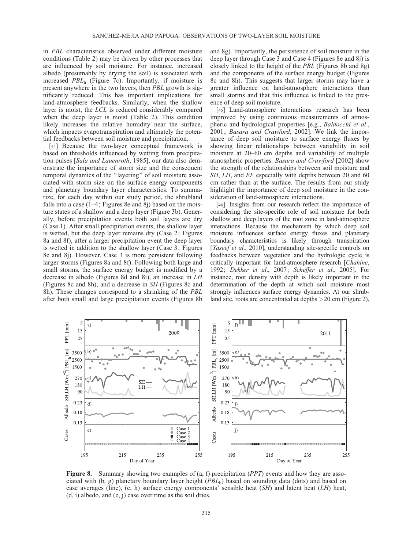in PBL characteristics observed under different moisture conditions (Table 2) may be driven by other processes that are influenced by soil moisture. For instance, increased albedo (presumably by drying the soil) is associated with increased  $PBL<sub>h</sub>$  (Figure 7c). Importantly, if moisture is present anywhere in the two layers, then PBL growth is significantly reduced. This has important implications for land-atmosphere feedbacks. Similarly, when the shallow layer is moist, the LCL is reduced considerably compared when the deep layer is moist (Table 2). This condition likely increases the relative humidity near the surface, which impacts evapotranspiration and ultimately the potential feedbacks between soil moisture and precipitation.

[44] Because the two-layer conceptual framework is based on thresholds influenced by wetting from precipitation pulses [Sala and Lauenroth, 1985], our data also demonstrate the importance of storm size and the consequent temporal dynamics of the ''layering'' of soil moisture associated with storm size on the surface energy components and planetary boundary layer characteristics. To summarize, for each day within our study period, the shrubland falls into a case  $(1-4;$  Figures 8e and 8j) based on the moisture states of a shallow and a deep layer (Figure 3b). Generally, before precipitation events both soil layers are dry (Case 1). After small precipitation events, the shallow layer is wetted, but the deep layer remains dry (Case 2; Figures 8a and 8f), after a larger precipitation event the deep layer is wetted in addition to the shallow layer (Case 3; Figures 8e and 8j). However, Case 3 is more persistent following larger storms (Figures 8a and 8f). Following both large and small storms, the surface energy budget is modified by a decrease in albedo (Figures 8d and 8i), an increase in LH (Figures 8c and 8h), and a decrease in SH (Figures 8c and 8h). These changes correspond to a shrinking of the PBL after both small and large precipitation events (Figures 8b and 8g). Importantly, the persistence of soil moisture in the deep layer through Case 3 and Case 4 (Figures 8e and 8j) is closely linked to the height of the PBL (Figures 8b and 8g) and the components of the surface energy budget (Figures 8c and 8h). This suggests that larger storms may have a greater influence on land-atmosphere interactions than small storms and that this influence is linked to the presence of deep soil moisture.

[45] Land-atmosphere interactions research has been improved by using continuous measurements of atmospheric and hydrological properties [e.g., Baldocchi et al., 2001; Basara and Crawford, 2002]. We link the importance of deep soil moisture to surface energy fluxes by showing linear relationships between variability in soil moisture at 20–60 cm depths and variability of multiple atmospheric properties. Basara and Crawford [2002] show the strength of the relationships between soil moisture and SH, LH, and EF especially with depths between 20 and 60 cm rather than at the surface. The results from our study highlight the importance of deep soil moisture in the consideration of land-atmosphere interactions.

[46] Insights from our research reflect the importance of considering the site-specific role of soil moisture for both shallow and deep layers of the root zone in land-atmosphere interactions. Because the mechanism by which deep soil moisture influences surface energy fluxes and planetary boundary characteristics is likely through transpiration [Yaseef et al., 2010], understanding site-specific controls on feedbacks between vegetation and the hydrologic cycle is critically important for land-atmosphere research [Chahine, 1992; Dekker et al., 2007; Scheffer et al., 2005]. For instance, root density with depth is likely important in the determination of the depth at which soil moisture most strongly influences surface energy dynamics. At our shrubland site, roots are concentrated at depths >20 cm (Figure 2),



**Figure 8.** Summary showing two examples of (a, f) precipitation  $(PPT)$  events and how they are associated with (b, g) planetary boundary layer height  $(PBL<sub>h</sub>)$  based on sounding data (dots) and based on case averages (line),  $(c, h)$  surface energy components' sensible heat  $(SH)$  and latent heat  $(LH)$  heat, (d, i) albedo, and (e, j) case over time as the soil dries.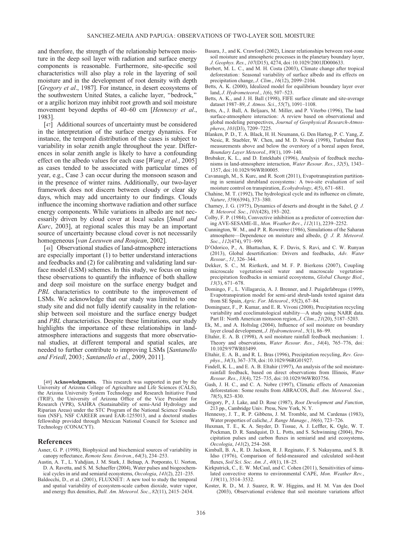and therefore, the strength of the relationship between moisture in the deep soil layer with radiation and surface energy components is reasonable. Furthermore, site-specific soil characteristics will also play a role in the layering of soil moisture and in the development of root density with depth [Gregory et al., 1987]. For instance, in desert ecosystems of the southwestern United States, a caliche layer, ''bedrock,'' or a argilic horizon may inhibit root growth and soil moisture movement beyond depths of 40–60 cm [Hennessy et al., 1983].

[47] Additional sources of uncertainty must be considered in the interpretation of the surface energy dynamics. For instance, the temporal distribution of the cases is subject to variability in solar zenith angle throughout the year. Differences in solar zenith angle is likely to have a confounding effect on the albedo values for each case [*Wang et al.*, 2005] as cases tended to be associated with particular times of year, e.g., Case 3 can occur during the monsoon season and in the presence of winter rains. Additionally, our two-layer framework does not discern between cloudy or clear sky days, which may add uncertainty to our findings. Clouds influence the incoming shortwave radiation and other surface energy components. While variations in albedo are not necessarily driven by cloud cover at local scales [Small and Kurc, 2003], at regional scales this may be an important source of uncertainty because cloud cover is not necessarily homogeneous [van Leeuwen and Roujean, 2002].

[48] Observational studies of land-atmosphere interactions are especially important (1) to better understand interactions and feedbacks and (2) for calibrating and validating land surface model (LSM) schemes. In this study, we focus on using these observations to quantify the influence of both shallow and deep soil moisture on the surface energy budget and PBL characteristics to contribute to the improvement of LSMs. We acknowledge that our study was limited to one study site and did not fully identify causality in the relationship between soil moisture and the surface energy budget and *PBL* characteristics. Despite these limitations, our study highlights the importance of these relationships in landatmosphere interactions and suggests that more observational studies, at different temporal and spatial scales, are needed to further contribute to improving LSMs [Santanello and Friedl, 2003; Santanello et al., 2009, 2011].

[49] **Acknowledgments.** This research was supported in part by the University of Arizona College of Agriculture and Life Sciences (CALS), the Arizona University System Technology and Research Initiative Fund (TRIF), the University of Arizona Office of the Vice President for Research (VPR), SAHRA (Sustainability of semi-Arid Hydrology and Riparian Areas) under the STC Program of the National Science Foundation (NSF), NSF CAREER award EAR-1255013, and a doctoral studies fellowship provided through Mexican National Council for Science and Technology (CONACYT).

#### References

- Asner, G. P. (1998), Biophysical and biochemical sources of variability in canopy reflectance, Remote Sens. Environ., 64(3), 234–253.
- Austin, A. T., L. Yahdjian, J. M. Stark, J. Belnap, A. Porporato, U. Norton, D. A. Ravetta, and S. M. Schaeffer (2004), Water pulses and biogeochemical cycles in arid and semiarid ecosystems, Oecologia, 141(2), 221–235.
- Baldocchi, D., et al. (2001), FLUXNET: A new tool to study the temporal and spatial variability of ecosystem-scale carbon dioxide, water vapor, and energy flux densities, Bull. Am. Meteorol. Soc., 82(11), 2415–2434.
- Basara, J., and K. Crawford (2002), Linear relationships between root-zone soil moisture and atmospheric processes in the planetary boundary layer, J. Geophys. Res., 107(D15), 4274, doi:[10.1029/2001JD000633](info:doi/10.1029/2001JD000633).
- Berbert, M. L. C., and M. H. Costa (2003), Climate change after tropical deforestation: Seasonal variability of surface albedo and its effects on precipitation change, J. Clim., 16(12), 2099–2104.
- Betts, A. K. (2000), Idealized model for equilibrium boundary layer over land, J. Hydrometeorol., 1(6), 507–523.
- Betts, A. K., and J. H. Ball (1998), FIFE surface climate and site-average dataset 1987–89, J. Atmos. Sci., 55(7), 1091–1108.
- Betts, A., J. Ball, A. Beljaars, M. Miller, and P. Viterbo (1996), The land surface-atmosphere interaction: A review based on observational and global modeling perspectives, Journal of Geophysical Research-Atmospheres, 101(D3), 7209–7225.
- Blanken, P. D., T. A. Black, H. H. Neumann, G. Den Hartog, P. C. Yang, Z. Nesic, R. Staebler, W. Chen, and M. D. Novak (1998), Turbulent flux measurements above and below the overstory of a boreal aspen forest, Boundary Layer Meteorol., 89(1), 109–140.
- Brubaker, K. L., and D. Entekhabi (1996), Analysis of feedback mechanisms in land-atmosphere interaction, Water Resour. Res., 32(5), 1343– 1357, doi:[10.1029/96WR00005.](info:doi/10.1029/96WR00005)
- Cavanaugh, M., S. Kurc, and R. Scott (2011), Evapotranspiration partitioning in semiarid shrubland ecosystems: A two-site evaluation of soil moisture control on transpiration, Ecohydrology, 4(5), 671–681.
- Chahine, M. T. (1992), The hydrological cycle and its influence on climate, Nature, 359(6394), 373–380.
- Charney, J. G. (1975), Dynamics of deserts and drought in the Sahel, Q. J. R. Meteorol. Soc., 101(428), 193–202.
- Colby, F. P. (1984), Convective inhibition as a predictor of convection during AVE-SESAME-II., Mon. Weather Rev., 112(11), 2239–2252.
- Cunnington, W. M., and P. R. Rowntree (1986), Simulations of the Saharan atmosphere—Dependence on moisture and albedo, Q. J. R. Meteorol. Soc., 112(474), 971–999.
- D'Odorico, P., A. Bhattachan, K. F. Davis, S. Ravi, and C. W. Runyan (2013), Global desertification: Drivers and feedbacks, Adv. Water Resour., 51, 326–344.
- Dekker, S. C., M. Rietkerk, and M. F. P. Bierkens (2007), Coupling microscale vegetation-soil water and macroscale vegetationprecipitation feedbacks in semiarid ecosystems, Global Change Biol., 13(3), 671–678.
- Domingo, F., L. Villagarcia, A. J. Brenner, and J. Puigdefabregas (1999), Evapotranspiration model for semi-arid shrub-lands tested against data from SE Spain, Agric. For. Meteorol., 95(2), 67-84.
- Dominguez, F., P. Kumar, and E. R. Vivoni (2008), Precipitation recycling variability and ecoclimatological stability—A study using NARR data. Part II: North American monsoon region, J. Clim., 21(20), 5187-5203.
- Ek, M., and A. Holtslag (2004), Influence of soil moisture on boundary layer cloud development, J. Hydrometeorol., 5(1), 86–99.
- Eltahir, E. A. B. (1998), A soil moisture rainfall feedback mechanism: 1. Theory and observations, Water Resour. Res., 34(4), 765-776, doi: [10.1029/97WR03499.](info:doi/10.1029/97WR03499)
- Eltahir, E. A. B., and R. L. Bras (1996), Precipitation recycling, Rev. Geophys., 34(3), 367–378, doi:[10.1029/96RG01927](info:doi/10.1029/96RG01927).
- Findell, K. L., and E. A. B. Eltahir (1997), An analysis of the soil moisturerainfall feedback, based on direct observations from Illinois, Water Resour. Res., 33(4), 725–735, doi:[10.1029/96WR03756](info:doi/10.1029/96WR03756).
- Gash, J. H. C., and C. A. Nobre (1997), Climatic effects of Amazonian deforestation: Some results from ABRACOS, Bull. Am. Meteorol. Soc., 78(5), 823–830.
- Gregory, P., J. Lake, and D. Rose (1987), Root Development and Function, 213 pp., Cambridge Univ. Press, New York, N. Y.
- Hennessy, J. T., R. P. Gibbens, J. M. Tromble, and M. Cardenas (1983), Water properties of caliche, J. Range Manage., 36(6), 723–726.
- Huxman, T. E., K. A. Snyder, D. Tissue, A. J. Leffler, K. Ogle, W. T. Pockman, D. R. Sandquist, D. L. Potts, and S. Schwinning (2004), Precipitation pulses and carbon fluxes in semiarid and arid ecosystems, Oecologia, 141(2), 254–268.
- Kimball, B. A., R. D. Jackson, R. J. Reginato, F. S. Nakayama, and S. B. Idso (1976), Comparison of field-measured and calculated soil-heat fluxes, Soil Sci. Soc. Am. J., 40(1), 18–25.
- Kirkpatrick, C., E. W. McCaul, and C. Cohen (2011), Sensitivities of simulated convective storms to environmental CAPE, Mon. Weather Rev., 139(11), 3514–3532.
- Koster, R. D., M. J. Suarez, R. W. Higgins, and H. M. Van den Dool (2003), Observational evidence that soil moisture variations affect